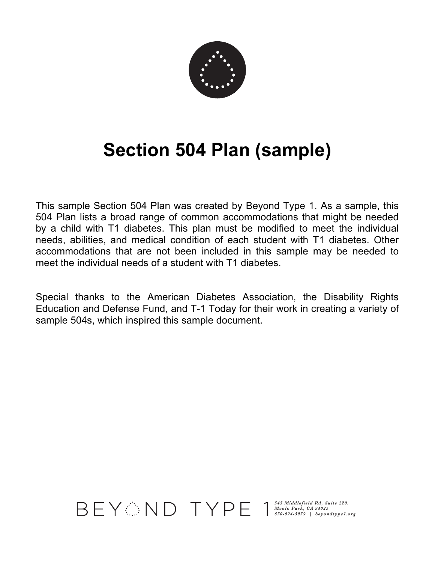

# **Section 504 Plan (sample)**

This sample Section 504 Plan was created by Beyond Type 1. As a sample, this 504 Plan lists a broad range of common accommodations that might be needed by a child with T1 diabetes. This plan must be modified to meet the individual needs, abilities, and medical condition of each student with T1 diabetes. Other accommodations that are not been included in this sample may be needed to meet the individual needs of a student with T1 diabetes.

Special thanks to the American Diabetes Association, the Disability Rights Education and Defense Fund, and T-1 Today for their work in creating a variety of sample 504s, which inspired this sample document.

*545 Middlefield Rd, Suite 220, Menlo Park, CA 94025 650-924-5959 | beyondtype1.org*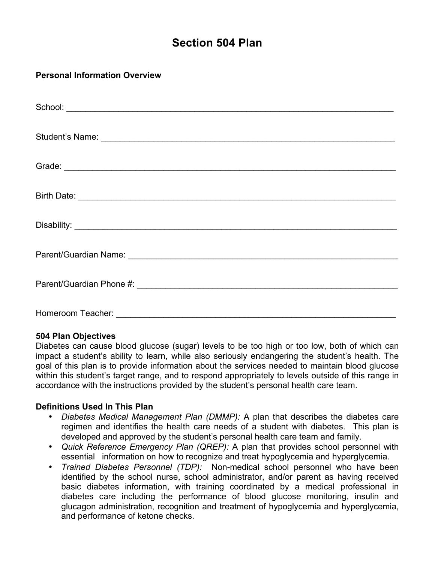# **Section 504 Plan**

## **Personal Information Overview**

| Parent/Guardian Phone #: \\connect\\ \\connect\\ \\connect\\ \\connect\\ \\connect\\ \\connect\\ \\connect\\ \\connect\\ \\connect\\ \\connect\\ \\connect\\ \\connect\\ \\connect\\ \\connect\\ \\connect\\ \\connect\\ \\con |
|--------------------------------------------------------------------------------------------------------------------------------------------------------------------------------------------------------------------------------|
| Homeroom Teacher:                                                                                                                                                                                                              |

#### **504 Plan Objectives**

Diabetes can cause blood glucose (sugar) levels to be too high or too low, both of which can impact a student's ability to learn, while also seriously endangering the student's health. The goal of this plan is to provide information about the services needed to maintain blood glucose within this student's target range, and to respond appropriately to levels outside of this range in accordance with the instructions provided by the student's personal health care team.

#### **Definitions Used In This Plan**

- *Diabetes Medical Management Plan (DMMP):* A plan that describes the diabetes care regimen and identifies the health care needs of a student with diabetes. This plan is developed and approved by the student's personal health care team and family.
- *Quick Reference Emergency Plan (QREP):* A plan that provides school personnel with essential information on how to recognize and treat hypoglycemia and hyperglycemia.
- *Trained Diabetes Personnel (TDP):* Non-medical school personnel who have been identified by the school nurse, school administrator, and/or parent as having received basic diabetes information, with training coordinated by a medical professional in diabetes care including the performance of blood glucose monitoring, insulin and glucagon administration, recognition and treatment of hypoglycemia and hyperglycemia, and performance of ketone checks.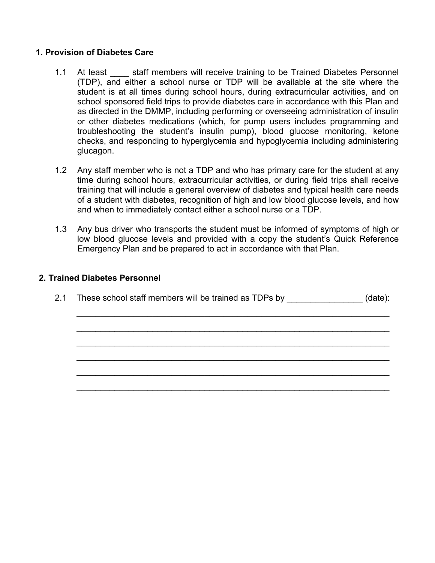#### **1. Provision of Diabetes Care**

- 1.1 At least staff members will receive training to be Trained Diabetes Personnel (TDP), and either a school nurse or TDP will be available at the site where the student is at all times during school hours, during extracurricular activities, and on school sponsored field trips to provide diabetes care in accordance with this Plan and as directed in the DMMP, including performing or overseeing administration of insulin or other diabetes medications (which, for pump users includes programming and troubleshooting the student's insulin pump), blood glucose monitoring, ketone checks, and responding to hyperglycemia and hypoglycemia including administering glucagon.
- 1.2 Any staff member who is not a TDP and who has primary care for the student at any time during school hours, extracurricular activities, or during field trips shall receive training that will include a general overview of diabetes and typical health care needs of a student with diabetes, recognition of high and low blood glucose levels, and how and when to immediately contact either a school nurse or a TDP.
- 1.3 Any bus driver who transports the student must be informed of symptoms of high or low blood glucose levels and provided with a copy the student's Quick Reference Emergency Plan and be prepared to act in accordance with that Plan.

#### **2. Trained Diabetes Personnel**

2.1 These school staff members will be trained as TDPs by  $\qquad \qquad$  (date):

 $\_$ 

 $\_$ 

 $\_$ 

 $\_$ 

\_\_\_\_\_\_\_\_\_\_\_\_\_\_\_\_\_\_\_\_\_\_\_\_\_\_\_\_\_\_\_\_\_\_\_\_\_\_\_\_\_\_\_\_\_\_\_\_\_\_\_\_\_\_\_\_\_\_\_\_\_\_\_\_\_\_

\_\_\_\_\_\_\_\_\_\_\_\_\_\_\_\_\_\_\_\_\_\_\_\_\_\_\_\_\_\_\_\_\_\_\_\_\_\_\_\_\_\_\_\_\_\_\_\_\_\_\_\_\_\_\_\_\_\_\_\_\_\_\_\_\_\_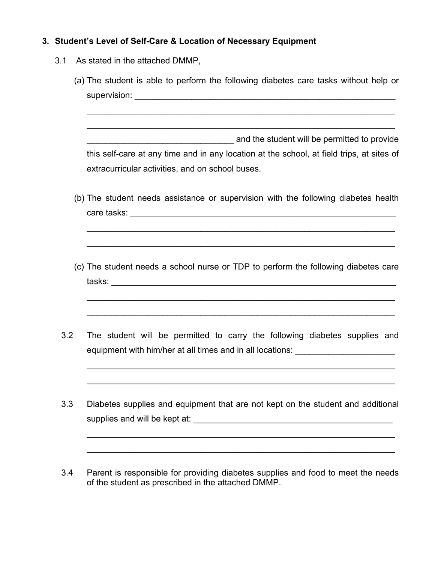## **3. Student's Level of Self-Care & Location of Necessary Equipment**

- 3.1 As stated in the attached DMMP,
	- (a) The student is able to perform the following diabetes care tasks without help or supervision: \_\_\_\_\_\_\_\_\_\_\_\_\_\_\_\_\_\_\_\_\_\_\_\_\_\_\_\_\_\_\_\_\_\_\_\_\_\_\_\_\_\_\_\_\_\_\_\_\_\_\_\_\_\_\_  $\mathcal{L}_\text{max} = \mathcal{L}_\text{max} = \mathcal{L}_\text{max} = \mathcal{L}_\text{max} = \mathcal{L}_\text{max} = \mathcal{L}_\text{max} = \mathcal{L}_\text{max} = \mathcal{L}_\text{max} = \mathcal{L}_\text{max} = \mathcal{L}_\text{max} = \mathcal{L}_\text{max} = \mathcal{L}_\text{max} = \mathcal{L}_\text{max} = \mathcal{L}_\text{max} = \mathcal{L}_\text{max} = \mathcal{L}_\text{max} = \mathcal{L}_\text{max} = \mathcal{L}_\text{max} = \mathcal{$  $\mathcal{L}_\mathcal{L} = \mathcal{L}_\mathcal{L} = \mathcal{L}_\mathcal{L} = \mathcal{L}_\mathcal{L} = \mathcal{L}_\mathcal{L} = \mathcal{L}_\mathcal{L} = \mathcal{L}_\mathcal{L} = \mathcal{L}_\mathcal{L} = \mathcal{L}_\mathcal{L} = \mathcal{L}_\mathcal{L} = \mathcal{L}_\mathcal{L} = \mathcal{L}_\mathcal{L} = \mathcal{L}_\mathcal{L} = \mathcal{L}_\mathcal{L} = \mathcal{L}_\mathcal{L} = \mathcal{L}_\mathcal{L} = \mathcal{L}_\mathcal{L}$ **Example 3** and the student will be permitted to provide this self-care at any time and in any location at the school, at field trips, at sites of extracurricular activities, and on school buses. (b) The student needs assistance or supervision with the following diabetes health care tasks: \_\_\_\_\_\_\_\_\_\_\_\_\_\_\_\_\_\_\_\_\_\_\_\_\_\_\_\_\_\_\_\_\_\_\_\_\_\_\_\_\_\_\_\_\_\_\_\_\_\_\_\_\_\_\_\_  $\mathcal{L}_\mathcal{L} = \mathcal{L}_\mathcal{L} = \mathcal{L}_\mathcal{L} = \mathcal{L}_\mathcal{L} = \mathcal{L}_\mathcal{L} = \mathcal{L}_\mathcal{L} = \mathcal{L}_\mathcal{L} = \mathcal{L}_\mathcal{L} = \mathcal{L}_\mathcal{L} = \mathcal{L}_\mathcal{L} = \mathcal{L}_\mathcal{L} = \mathcal{L}_\mathcal{L} = \mathcal{L}_\mathcal{L} = \mathcal{L}_\mathcal{L} = \mathcal{L}_\mathcal{L} = \mathcal{L}_\mathcal{L} = \mathcal{L}_\mathcal{L}$  $\mathcal{L}_\mathcal{L} = \mathcal{L}_\mathcal{L} = \mathcal{L}_\mathcal{L} = \mathcal{L}_\mathcal{L} = \mathcal{L}_\mathcal{L} = \mathcal{L}_\mathcal{L} = \mathcal{L}_\mathcal{L} = \mathcal{L}_\mathcal{L} = \mathcal{L}_\mathcal{L} = \mathcal{L}_\mathcal{L} = \mathcal{L}_\mathcal{L} = \mathcal{L}_\mathcal{L} = \mathcal{L}_\mathcal{L} = \mathcal{L}_\mathcal{L} = \mathcal{L}_\mathcal{L} = \mathcal{L}_\mathcal{L} = \mathcal{L}_\mathcal{L}$ (c) The student needs a school nurse or TDP to perform the following diabetes care tasks: \_\_\_\_\_\_\_\_\_\_\_\_\_\_\_\_\_\_\_\_\_\_\_\_\_\_\_\_\_\_\_\_\_\_\_\_\_\_\_\_\_\_\_\_\_\_\_\_\_\_\_\_\_\_\_\_\_\_\_\_  $\mathcal{L}_\mathcal{L} = \mathcal{L}_\mathcal{L} = \mathcal{L}_\mathcal{L} = \mathcal{L}_\mathcal{L} = \mathcal{L}_\mathcal{L} = \mathcal{L}_\mathcal{L} = \mathcal{L}_\mathcal{L} = \mathcal{L}_\mathcal{L} = \mathcal{L}_\mathcal{L} = \mathcal{L}_\mathcal{L} = \mathcal{L}_\mathcal{L} = \mathcal{L}_\mathcal{L} = \mathcal{L}_\mathcal{L} = \mathcal{L}_\mathcal{L} = \mathcal{L}_\mathcal{L} = \mathcal{L}_\mathcal{L} = \mathcal{L}_\mathcal{L}$  $\mathcal{L}_\mathcal{L} = \mathcal{L}_\mathcal{L} = \mathcal{L}_\mathcal{L} = \mathcal{L}_\mathcal{L} = \mathcal{L}_\mathcal{L} = \mathcal{L}_\mathcal{L} = \mathcal{L}_\mathcal{L} = \mathcal{L}_\mathcal{L} = \mathcal{L}_\mathcal{L} = \mathcal{L}_\mathcal{L} = \mathcal{L}_\mathcal{L} = \mathcal{L}_\mathcal{L} = \mathcal{L}_\mathcal{L} = \mathcal{L}_\mathcal{L} = \mathcal{L}_\mathcal{L} = \mathcal{L}_\mathcal{L} = \mathcal{L}_\mathcal{L}$ 3.2 The student will be permitted to carry the following diabetes supplies and equipment with him/her at all times and in all locations:  $\mathcal{L}_\mathcal{L} = \mathcal{L}_\mathcal{L} = \mathcal{L}_\mathcal{L} = \mathcal{L}_\mathcal{L} = \mathcal{L}_\mathcal{L} = \mathcal{L}_\mathcal{L} = \mathcal{L}_\mathcal{L} = \mathcal{L}_\mathcal{L} = \mathcal{L}_\mathcal{L} = \mathcal{L}_\mathcal{L} = \mathcal{L}_\mathcal{L} = \mathcal{L}_\mathcal{L} = \mathcal{L}_\mathcal{L} = \mathcal{L}_\mathcal{L} = \mathcal{L}_\mathcal{L} = \mathcal{L}_\mathcal{L} = \mathcal{L}_\mathcal{L}$  $\mathcal{L}_\mathcal{L} = \mathcal{L}_\mathcal{L} = \mathcal{L}_\mathcal{L} = \mathcal{L}_\mathcal{L} = \mathcal{L}_\mathcal{L} = \mathcal{L}_\mathcal{L} = \mathcal{L}_\mathcal{L} = \mathcal{L}_\mathcal{L} = \mathcal{L}_\mathcal{L} = \mathcal{L}_\mathcal{L} = \mathcal{L}_\mathcal{L} = \mathcal{L}_\mathcal{L} = \mathcal{L}_\mathcal{L} = \mathcal{L}_\mathcal{L} = \mathcal{L}_\mathcal{L} = \mathcal{L}_\mathcal{L} = \mathcal{L}_\mathcal{L}$ 3.3 Diabetes supplies and equipment that are not kept on the student and additional supplies and will be kept at: \_\_\_\_\_\_\_\_\_\_\_\_\_\_\_\_\_\_\_\_\_\_\_\_\_\_\_\_\_\_\_\_\_\_\_\_\_\_\_\_\_\_  $\mathcal{L}_\mathcal{L} = \mathcal{L}_\mathcal{L} = \mathcal{L}_\mathcal{L} = \mathcal{L}_\mathcal{L} = \mathcal{L}_\mathcal{L} = \mathcal{L}_\mathcal{L} = \mathcal{L}_\mathcal{L} = \mathcal{L}_\mathcal{L} = \mathcal{L}_\mathcal{L} = \mathcal{L}_\mathcal{L} = \mathcal{L}_\mathcal{L} = \mathcal{L}_\mathcal{L} = \mathcal{L}_\mathcal{L} = \mathcal{L}_\mathcal{L} = \mathcal{L}_\mathcal{L} = \mathcal{L}_\mathcal{L} = \mathcal{L}_\mathcal{L}$
	- 3.4 Parent is responsible for providing diabetes supplies and food to meet the needs of the student as prescribed in the attached DMMP.

 $\mathcal{L}_\mathcal{L} = \mathcal{L}_\mathcal{L} = \mathcal{L}_\mathcal{L} = \mathcal{L}_\mathcal{L} = \mathcal{L}_\mathcal{L} = \mathcal{L}_\mathcal{L} = \mathcal{L}_\mathcal{L} = \mathcal{L}_\mathcal{L} = \mathcal{L}_\mathcal{L} = \mathcal{L}_\mathcal{L} = \mathcal{L}_\mathcal{L} = \mathcal{L}_\mathcal{L} = \mathcal{L}_\mathcal{L} = \mathcal{L}_\mathcal{L} = \mathcal{L}_\mathcal{L} = \mathcal{L}_\mathcal{L} = \mathcal{L}_\mathcal{L}$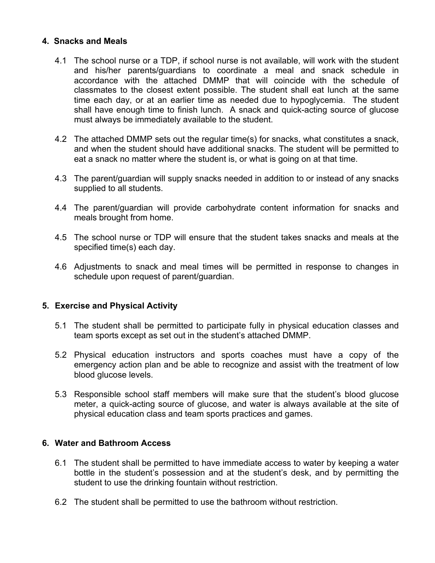#### **4. Snacks and Meals**

- 4.1 The school nurse or a TDP, if school nurse is not available, will work with the student and his/her parents/guardians to coordinate a meal and snack schedule in accordance with the attached DMMP that will coincide with the schedule of classmates to the closest extent possible. The student shall eat lunch at the same time each day, or at an earlier time as needed due to hypoglycemia. The student shall have enough time to finish lunch. A snack and quick-acting source of glucose must always be immediately available to the student.
- 4.2 The attached DMMP sets out the regular time(s) for snacks, what constitutes a snack, and when the student should have additional snacks. The student will be permitted to eat a snack no matter where the student is, or what is going on at that time.
- 4.3 The parent/guardian will supply snacks needed in addition to or instead of any snacks supplied to all students.
- 4.4 The parent/guardian will provide carbohydrate content information for snacks and meals brought from home.
- 4.5 The school nurse or TDP will ensure that the student takes snacks and meals at the specified time(s) each day.
- 4.6 Adjustments to snack and meal times will be permitted in response to changes in schedule upon request of parent/guardian.

#### **5. Exercise and Physical Activity**

- 5.1 The student shall be permitted to participate fully in physical education classes and team sports except as set out in the student's attached DMMP.
- 5.2 Physical education instructors and sports coaches must have a copy of the emergency action plan and be able to recognize and assist with the treatment of low blood glucose levels.
- 5.3 Responsible school staff members will make sure that the student's blood glucose meter, a quick-acting source of glucose, and water is always available at the site of physical education class and team sports practices and games.

#### **6. Water and Bathroom Access**

- 6.1 The student shall be permitted to have immediate access to water by keeping a water bottle in the student's possession and at the student's desk, and by permitting the student to use the drinking fountain without restriction.
- 6.2 The student shall be permitted to use the bathroom without restriction.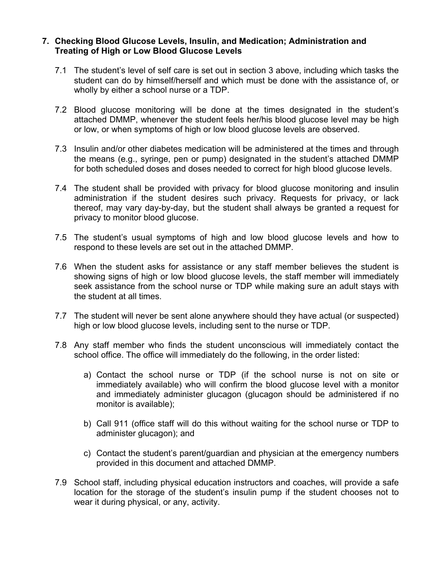#### **7. Checking Blood Glucose Levels, Insulin, and Medication; Administration and Treating of High or Low Blood Glucose Levels**

- 7.1 The student's level of self care is set out in section 3 above, including which tasks the student can do by himself/herself and which must be done with the assistance of, or wholly by either a school nurse or a TDP.
- 7.2 Blood glucose monitoring will be done at the times designated in the student's attached DMMP, whenever the student feels her/his blood glucose level may be high or low, or when symptoms of high or low blood glucose levels are observed.
- 7.3 Insulin and/or other diabetes medication will be administered at the times and through the means (e.g., syringe, pen or pump) designated in the student's attached DMMP for both scheduled doses and doses needed to correct for high blood glucose levels.
- 7.4 The student shall be provided with privacy for blood glucose monitoring and insulin administration if the student desires such privacy. Requests for privacy, or lack thereof, may vary day-by-day, but the student shall always be granted a request for privacy to monitor blood glucose.
- 7.5 The student's usual symptoms of high and low blood glucose levels and how to respond to these levels are set out in the attached DMMP.
- 7.6 When the student asks for assistance or any staff member believes the student is showing signs of high or low blood glucose levels, the staff member will immediately seek assistance from the school nurse or TDP while making sure an adult stays with the student at all times.
- 7.7 The student will never be sent alone anywhere should they have actual (or suspected) high or low blood glucose levels, including sent to the nurse or TDP.
- 7.8 Any staff member who finds the student unconscious will immediately contact the school office. The office will immediately do the following, in the order listed:
	- a) Contact the school nurse or TDP (if the school nurse is not on site or immediately available) who will confirm the blood glucose level with a monitor and immediately administer glucagon (glucagon should be administered if no monitor is available);
	- b) Call 911 (office staff will do this without waiting for the school nurse or TDP to administer glucagon); and
	- c) Contact the student's parent/guardian and physician at the emergency numbers provided in this document and attached DMMP.
- 7.9 School staff, including physical education instructors and coaches, will provide a safe location for the storage of the student's insulin pump if the student chooses not to wear it during physical, or any, activity.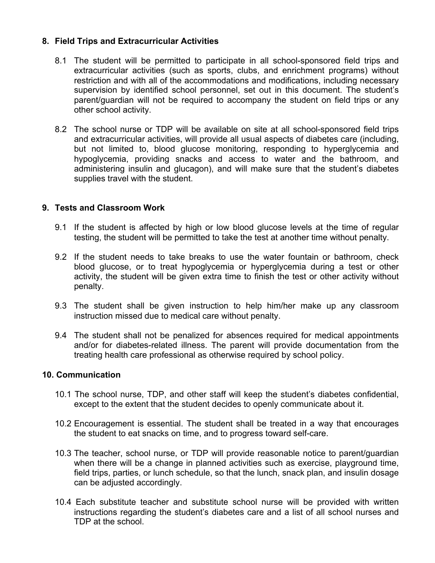#### **8. Field Trips and Extracurricular Activities**

- 8.1 The student will be permitted to participate in all school-sponsored field trips and extracurricular activities (such as sports, clubs, and enrichment programs) without restriction and with all of the accommodations and modifications, including necessary supervision by identified school personnel, set out in this document. The student's parent/guardian will not be required to accompany the student on field trips or any other school activity.
- 8.2 The school nurse or TDP will be available on site at all school-sponsored field trips and extracurricular activities, will provide all usual aspects of diabetes care (including, but not limited to, blood glucose monitoring, responding to hyperglycemia and hypoglycemia, providing snacks and access to water and the bathroom, and administering insulin and glucagon), and will make sure that the student's diabetes supplies travel with the student.

#### **9. Tests and Classroom Work**

- 9.1 If the student is affected by high or low blood glucose levels at the time of regular testing, the student will be permitted to take the test at another time without penalty.
- 9.2 If the student needs to take breaks to use the water fountain or bathroom, check blood glucose, or to treat hypoglycemia or hyperglycemia during a test or other activity, the student will be given extra time to finish the test or other activity without penalty.
- 9.3 The student shall be given instruction to help him/her make up any classroom instruction missed due to medical care without penalty.
- 9.4 The student shall not be penalized for absences required for medical appointments and/or for diabetes-related illness. The parent will provide documentation from the treating health care professional as otherwise required by school policy.

#### **10. Communication**

- 10.1 The school nurse, TDP, and other staff will keep the student's diabetes confidential, except to the extent that the student decides to openly communicate about it.
- 10.2 Encouragement is essential. The student shall be treated in a way that encourages the student to eat snacks on time, and to progress toward self-care.
- 10.3 The teacher, school nurse, or TDP will provide reasonable notice to parent/guardian when there will be a change in planned activities such as exercise, playground time, field trips, parties, or lunch schedule, so that the lunch, snack plan, and insulin dosage can be adjusted accordingly.
- 10.4 Each substitute teacher and substitute school nurse will be provided with written instructions regarding the student's diabetes care and a list of all school nurses and TDP at the school.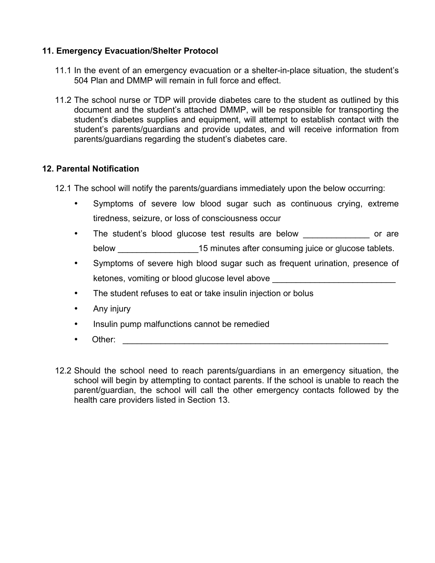#### **11. Emergency Evacuation/Shelter Protocol**

- 11.1 In the event of an emergency evacuation or a shelter-in-place situation, the student's 504 Plan and DMMP will remain in full force and effect.
- 11.2 The school nurse or TDP will provide diabetes care to the student as outlined by this document and the student's attached DMMP, will be responsible for transporting the student's diabetes supplies and equipment, will attempt to establish contact with the student's parents/guardians and provide updates, and will receive information from parents/guardians regarding the student's diabetes care.

#### **12. Parental Notification**

- 12.1 The school will notify the parents/guardians immediately upon the below occurring:
	- Symptoms of severe low blood sugar such as continuous crying, extreme tiredness, seizure, or loss of consciousness occur
	- The student's blood glucose test results are below \_\_\_\_\_\_\_\_\_\_\_\_\_\_\_ or are below **below** 15 minutes after consuming juice or glucose tablets.
	- Symptoms of severe high blood sugar such as frequent urination, presence of ketones, vomiting or blood glucose level above
	- The student refuses to eat or take insulin injection or bolus
	- Any injury
	- Insulin pump malfunctions cannot be remedied
	- Other: \_\_\_\_\_\_\_\_\_\_\_\_\_\_\_\_\_\_\_\_\_\_\_\_\_\_\_\_\_\_\_\_\_\_\_\_\_\_\_\_\_\_\_\_\_\_\_\_\_\_\_\_\_\_\_\_
- 12.2 Should the school need to reach parents/guardians in an emergency situation, the school will begin by attempting to contact parents. If the school is unable to reach the parent/guardian, the school will call the other emergency contacts followed by the health care providers listed in Section 13.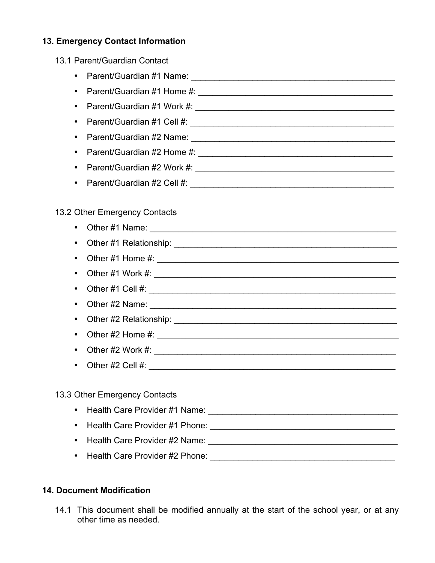## **13. Emergency Contact Information**

### 13.1 Parent/Guardian Contact

- Parent/Guardian #1 Name: \_\_\_\_\_\_\_\_\_\_\_\_\_\_\_\_\_\_\_\_\_\_\_\_\_\_\_\_\_\_\_\_\_\_\_\_\_\_\_\_\_\_\_
- Parent/Guardian #1 Home #: \_\_\_\_\_\_\_\_\_\_\_\_\_\_\_\_\_\_\_\_\_\_\_\_\_\_\_\_\_\_\_\_\_\_\_\_\_\_\_\_\_
- Parent/Guardian #1 Work #: \_\_\_\_\_\_\_\_\_\_\_\_\_\_\_\_\_\_\_\_\_\_\_\_\_\_\_\_\_\_\_\_\_\_\_\_\_\_\_\_\_\_
- Parent/Guardian #1 Cell #: \_\_\_\_\_\_\_\_\_\_\_\_\_\_\_\_\_\_\_\_\_\_\_\_\_\_\_\_\_\_\_\_\_\_\_\_\_\_\_\_\_\_\_
- Parent/Guardian #2 Name: \_\_\_\_\_\_\_\_\_\_\_\_\_\_\_\_\_\_\_\_\_\_\_\_\_\_\_\_\_\_\_\_\_\_\_\_\_\_\_\_\_\_\_
- Parent/Guardian #2 Home #: \_\_\_\_\_\_\_\_\_\_\_\_\_\_\_\_\_\_\_\_\_\_\_\_\_\_\_\_\_\_\_\_\_\_\_\_\_\_\_\_\_
- Parent/Guardian #2 Work #: \_\_\_\_\_\_\_\_\_\_\_\_\_\_\_\_\_\_\_\_\_\_\_\_\_\_\_\_\_\_\_\_\_\_\_\_\_\_\_\_\_\_
- Parent/Guardian #2 Cell #:

#### 13.2 Other Emergency Contacts

- Other #1 Name: \_\_\_\_\_\_\_\_\_\_\_\_\_\_\_\_\_\_\_\_\_\_\_\_\_\_\_\_\_\_\_\_\_\_\_\_\_\_\_\_\_\_\_\_\_\_\_\_\_\_\_\_
- Other #1 Relationship: \_\_\_\_\_\_\_\_\_\_\_\_\_\_\_\_\_\_\_\_\_\_\_\_\_\_\_\_\_\_\_\_\_\_\_\_\_\_\_\_\_\_\_\_\_\_\_
- Other #1 Home #: \_\_\_\_\_\_\_\_\_\_\_\_\_\_\_\_\_\_\_\_\_\_\_\_\_\_\_\_\_\_\_\_\_\_\_\_\_\_\_\_\_\_\_\_\_\_\_\_\_\_\_
- Other #1 Work #: \_\_\_\_\_\_\_\_\_\_\_\_\_\_\_\_\_\_\_\_\_\_\_\_\_\_\_\_\_\_\_\_\_\_\_\_\_\_\_\_\_\_\_\_\_\_\_\_\_\_\_
- Other  $\#1$  Cell  $\#$ :
- Other  $\#2$  Name:
- Other #2 Relationship:
- Other  $\#2$  Home  $\#$ :
- Other #2 Work #: \_\_\_\_\_\_\_\_\_\_\_\_\_\_\_\_\_\_\_\_\_\_\_\_\_\_\_\_\_\_\_\_\_\_\_\_\_\_\_\_\_\_\_\_\_\_\_\_\_\_\_
- Other #2 Cell #:  $\sqrt{2}$  and  $\sqrt{2}$  and  $\sqrt{2}$  and  $\sqrt{2}$  and  $\sqrt{2}$  and  $\sqrt{2}$  and  $\sqrt{2}$  and  $\sqrt{2}$  and  $\sqrt{2}$  and  $\sqrt{2}$  and  $\sqrt{2}$  and  $\sqrt{2}$  and  $\sqrt{2}$  and  $\sqrt{2}$  and  $\sqrt{2}$  and  $\sqrt{2}$  and  $\sqrt{2}$  and

#### 13.3 Other Emergency Contacts

- Health Care Provider #1 Name: **Example 2018**
- Health Care Provider #1 Phone:
- Health Care Provider #2 Name:
- Health Care Provider #2 Phone: \_\_\_\_\_\_\_\_\_\_\_\_\_\_\_\_\_\_\_\_\_\_\_\_\_\_\_\_\_\_\_\_\_\_\_\_\_\_\_

#### **14. Document Modification**

14.1 This document shall be modified annually at the start of the school year, or at any other time as needed.